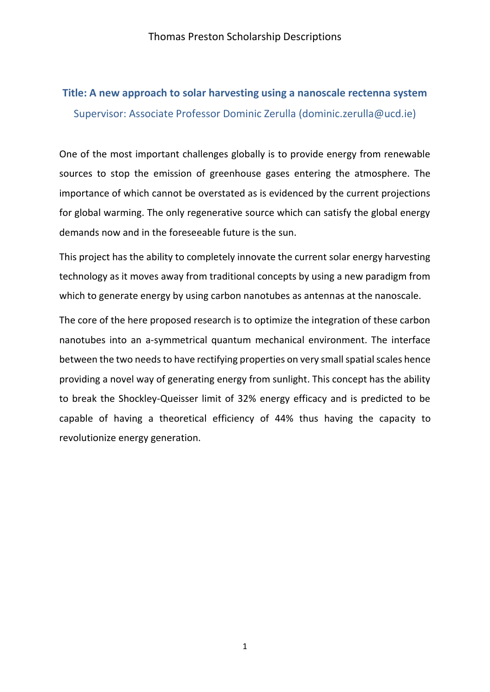# **Title: A new approach to solar harvesting using a nanoscale rectenna system**  Supervisor: Associate Professor Dominic Zerulla (dominic.zerulla@ucd.ie)

One of the most important challenges globally is to provide energy from renewable sources to stop the emission of greenhouse gases entering the atmosphere. The importance of which cannot be overstated as is evidenced by the current projections for global warming. The only regenerative source which can satisfy the global energy demands now and in the foreseeable future is the sun.

This project has the ability to completely innovate the current solar energy harvesting technology as it moves away from traditional concepts by using a new paradigm from which to generate energy by using carbon nanotubes as antennas at the nanoscale.

The core of the here proposed research is to optimize the integration of these carbon nanotubes into an a-symmetrical quantum mechanical environment. The interface between the two needs to have rectifying properties on very small spatial scales hence providing a novel way of generating energy from sunlight. This concept has the ability to break the Shockley-Queisser limit of 32% energy efficacy and is predicted to be capable of having a theoretical efficiency of 44% thus having the capacity to revolutionize energy generation.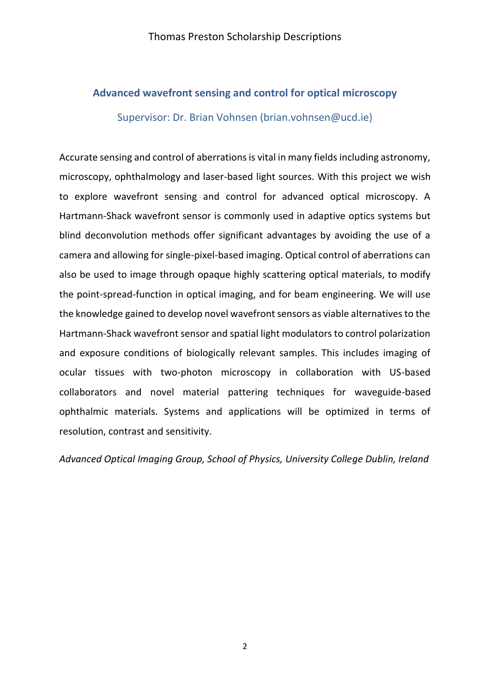### **Advanced wavefront sensing and control for optical microscopy**

Supervisor: Dr. Brian Vohnsen [\(brian.vohnsen@ucd.ie\)](mailto:brian.vohnsen@ucd.ie)

Accurate sensing and control of aberrations is vital in many fields including astronomy, microscopy, ophthalmology and laser-based light sources. With this project we wish to explore wavefront sensing and control for advanced optical microscopy. A Hartmann-Shack wavefront sensor is commonly used in adaptive optics systems but blind deconvolution methods offer significant advantages by avoiding the use of a camera and allowing for single-pixel-based imaging. Optical control of aberrations can also be used to image through opaque highly scattering optical materials, to modify the point-spread-function in optical imaging, and for beam engineering. We will use the knowledge gained to develop novel wavefront sensors as viable alternatives to the Hartmann-Shack wavefront sensor and spatial light modulators to control polarization and exposure conditions of biologically relevant samples. This includes imaging of ocular tissues with two-photon microscopy in collaboration with US-based collaborators and novel material pattering techniques for waveguide-based ophthalmic materials. Systems and applications will be optimized in terms of resolution, contrast and sensitivity.

*Advanced Optical Imaging Group, School of Physics, University College Dublin, Ireland*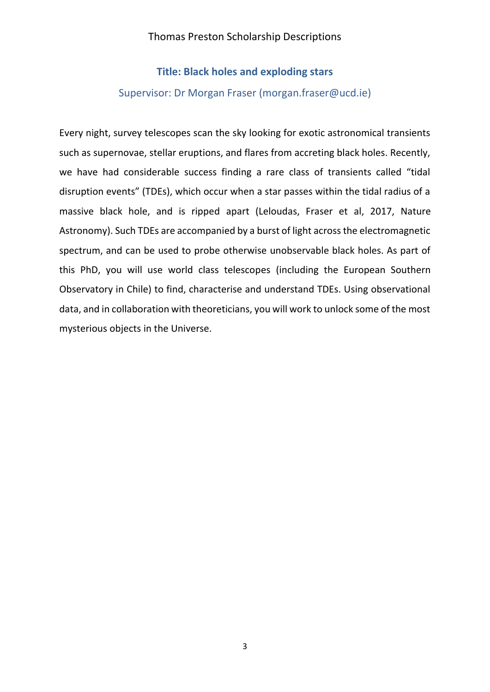### **Title: Black holes and exploding stars**

#### Supervisor: Dr Morgan Fraser (morgan.fraser@ucd.ie)

Every night, survey telescopes scan the sky looking for exotic astronomical transients such as supernovae, stellar eruptions, and flares from accreting black holes. Recently, we have had considerable success finding a rare class of transients called "tidal disruption events" (TDEs), which occur when a star passes within the tidal radius of a massive black hole, and is ripped apart (Leloudas, Fraser et al, 2017, Nature Astronomy). Such TDEs are accompanied by a burst of light across the electromagnetic spectrum, and can be used to probe otherwise unobservable black holes. As part of this PhD, you will use world class telescopes (including the European Southern Observatory in Chile) to find, characterise and understand TDEs. Using observational data, and in collaboration with theoreticians, you will work to unlock some of the most mysterious objects in the Universe.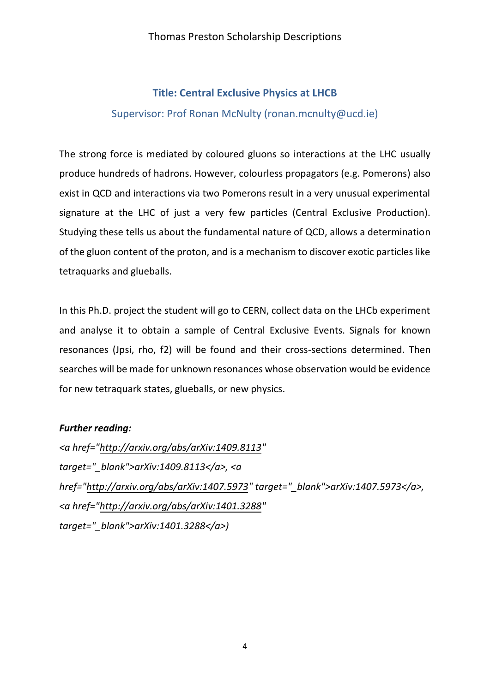### **Title: Central Exclusive Physics at LHCB**  Supervisor: Prof Ronan McNulty (ronan.mcnulty@ucd.ie)

The strong force is mediated by coloured gluons so interactions at the LHC usually produce hundreds of hadrons. However, colourless propagators (e.g. Pomerons) also exist in QCD and interactions via two Pomerons result in a very unusual experimental signature at the LHC of just a very few particles (Central Exclusive Production). Studying these tells us about the fundamental nature of QCD, allows a determination of the gluon content of the proton, and is a mechanism to discover exotic particles like tetraquarks and glueballs.

In this Ph.D. project the student will go to CERN, collect data on the LHCb experiment and analyse it to obtain a sample of Central Exclusive Events. Signals for known resonances (Jpsi, rho, f2) will be found and their cross-sections determined. Then searches will be made for unknown resonances whose observation would be evidence for new tetraquark states, glueballs, or new physics.

### *Further reading:*

*<a href=["http://arxiv.org/abs/arXiv:1409.8113"](http://arxiv.org/abs/arXiv:1409.8113) target="\_blank">arXiv:1409.8113</a>, <a href=["http://arxiv.org/abs/arXiv:1407.5973"](http://arxiv.org/abs/arXiv:1407.5973) target="\_blank">arXiv:1407.5973</a>, <a href=["http://arxiv.org/abs/arXiv:1401.3288"](http://arxiv.org/abs/arXiv:1401.3288) target="\_blank">arXiv:1401.3288</a>)*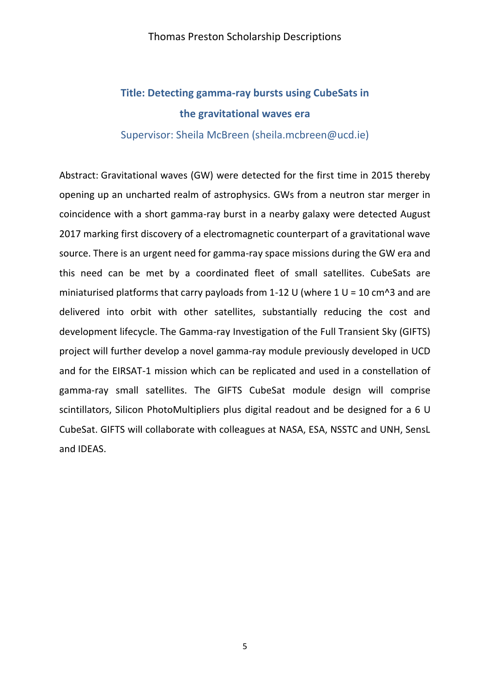# **Title: Detecting gamma-ray bursts using CubeSats in the gravitational waves era**

#### Supervisor: Sheila McBreen (sheila.mcbreen@ucd.ie)

Abstract: Gravitational waves (GW) were detected for the first time in 2015 thereby opening up an uncharted realm of astrophysics. GWs from a neutron star merger in coincidence with a short gamma-ray burst in a nearby galaxy were detected August 2017 marking first discovery of a electromagnetic counterpart of a gravitational wave source. There is an urgent need for gamma-ray space missions during the GW era and this need can be met by a coordinated fleet of small satellites. CubeSats are miniaturised platforms that carry payloads from 1-12 U (where 1 U = 10 cm^3 and are delivered into orbit with other satellites, substantially reducing the cost and development lifecycle. The Gamma-ray Investigation of the Full Transient Sky (GIFTS) project will further develop a novel gamma-ray module previously developed in UCD and for the EIRSAT-1 mission which can be replicated and used in a constellation of gamma-ray small satellites. The GIFTS CubeSat module design will comprise scintillators, Silicon PhotoMultipliers plus digital readout and be designed for a 6 U CubeSat. GIFTS will collaborate with colleagues at NASA, ESA, NSSTC and UNH, SensL and IDEAS.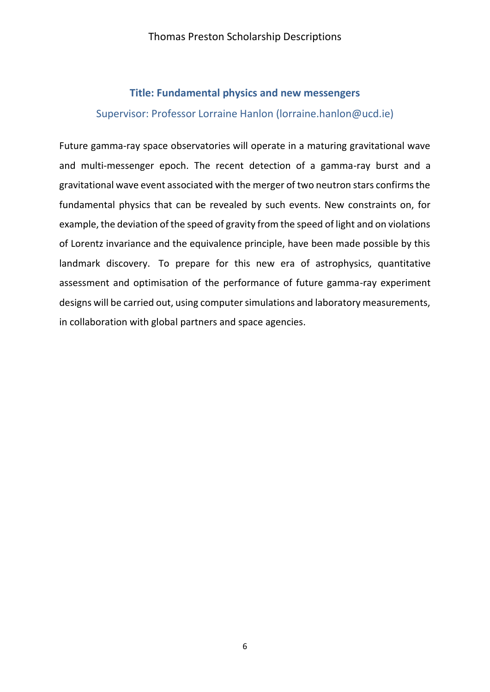### **Title: Fundamental physics and new messengers**

### Supervisor: Professor Lorraine Hanlon (lorraine.hanlon@ucd.ie)

Future gamma-ray space observatories will operate in a maturing gravitational wave and multi-messenger epoch. The recent detection of a gamma-ray burst and a gravitational wave event associated with the merger of two neutron stars confirms the fundamental physics that can be revealed by such events. New constraints on, for example, the deviation of the speed of gravity from the speed of light and on violations of Lorentz invariance and the equivalence principle, have been made possible by this landmark discovery. To prepare for this new era of astrophysics, quantitative assessment and optimisation of the performance of future gamma-ray experiment designs will be carried out, using computer simulations and laboratory measurements, in collaboration with global partners and space agencies.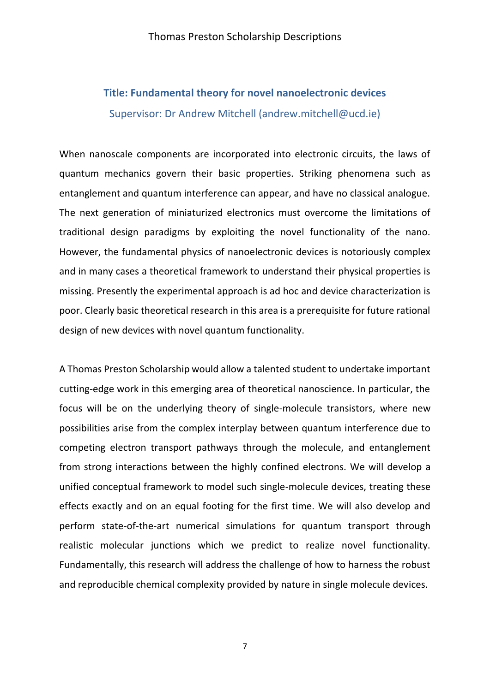### **Title: Fundamental theory for novel nanoelectronic devices**  Supervisor: Dr Andrew Mitchell (andrew.mitchell@ucd.ie)

When nanoscale components are incorporated into electronic circuits, the laws of quantum mechanics govern their basic properties. Striking phenomena such as entanglement and quantum interference can appear, and have no classical analogue. The next generation of miniaturized electronics must overcome the limitations of traditional design paradigms by exploiting the novel functionality of the nano. However, the fundamental physics of nanoelectronic devices is notoriously complex and in many cases a theoretical framework to understand their physical properties is missing. Presently the experimental approach is ad hoc and device characterization is poor. Clearly basic theoretical research in this area is a prerequisite for future rational design of new devices with novel quantum functionality.

A Thomas Preston Scholarship would allow a talented student to undertake important cutting-edge work in this emerging area of theoretical nanoscience. In particular, the focus will be on the underlying theory of single-molecule transistors, where new possibilities arise from the complex interplay between quantum interference due to competing electron transport pathways through the molecule, and entanglement from strong interactions between the highly confined electrons. We will develop a unified conceptual framework to model such single-molecule devices, treating these effects exactly and on an equal footing for the first time. We will also develop and perform state-of-the-art numerical simulations for quantum transport through realistic molecular junctions which we predict to realize novel functionality. Fundamentally, this research will address the challenge of how to harness the robust and reproducible chemical complexity provided by nature in single molecule devices.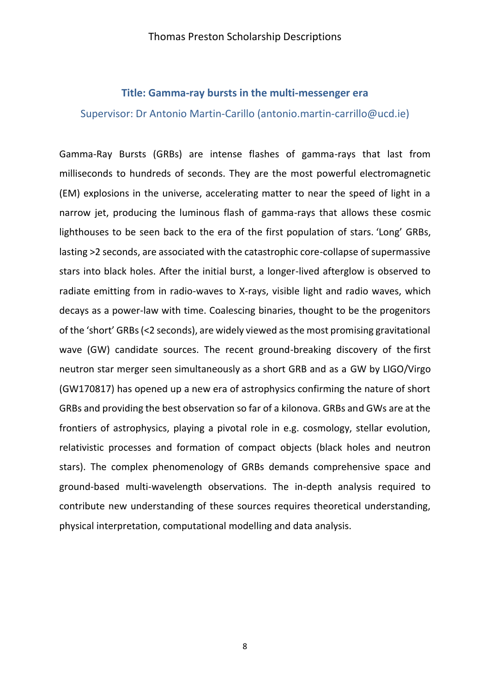#### **Title: Gamma-ray bursts in the multi-messenger era**

Supervisor: Dr Antonio Martin-Carillo (antonio.martin-carrillo@ucd.ie)

Gamma-Ray Bursts (GRBs) are intense flashes of gamma-rays that last from milliseconds to hundreds of seconds. They are the most powerful electromagnetic (EM) explosions in the universe, accelerating matter to near the speed of light in a narrow jet, producing the luminous flash of gamma-rays that allows these cosmic lighthouses to be seen back to the era of the first population of stars. 'Long' GRBs, lasting >2 seconds, are associated with the catastrophic core-collapse of supermassive stars into black holes. After the initial burst, a longer-lived afterglow is observed to radiate emitting from in radio-waves to X-rays, visible light and radio waves, which decays as a power-law with time. Coalescing binaries, thought to be the progenitors of the 'short' GRBs (<2 seconds), are widely viewed as the most promising gravitational wave (GW) candidate sources. The recent ground-breaking discovery of the first neutron star merger seen simultaneously as a short GRB and as a GW by LIGO/Virgo (GW170817) has opened up a new era of astrophysics confirming the nature of short GRBs and providing the best observation so far of a kilonova. GRBs and GWs are at the frontiers of astrophysics, playing a pivotal role in e.g. cosmology, stellar evolution, relativistic processes and formation of compact objects (black holes and neutron stars). The complex phenomenology of GRBs demands comprehensive space and ground-based multi-wavelength observations. The in-depth analysis required to contribute new understanding of these sources requires theoretical understanding, physical interpretation, computational modelling and data analysis.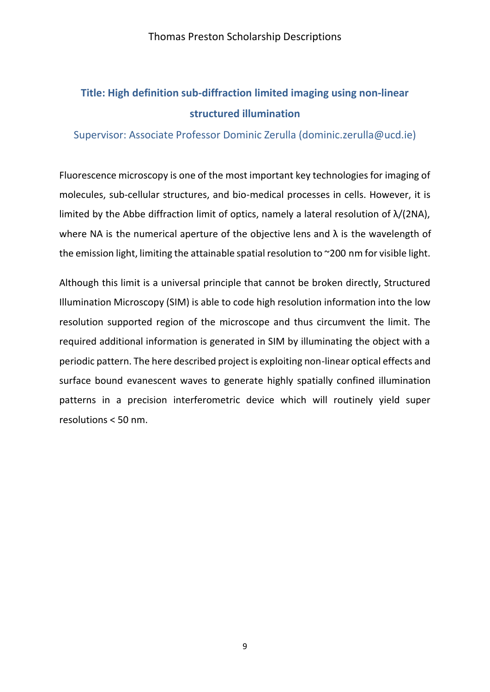### **Title: High definition sub-diffraction limited imaging using non-linear structured illumination**

Supervisor: Associate Professor Dominic Zerulla (dominic.zerulla@ucd.ie)

Fluorescence microscopy is one of the most important key technologies for imaging of molecules, sub-cellular structures, and bio-medical processes in cells. However, it is limited by the Abbe diffraction limit of optics, namely a lateral resolution of  $\lambda/(2NA)$ , where NA is the numerical aperture of the objective lens and  $\lambda$  is the wavelength of the emission light, limiting the attainable spatial resolution to ~200 nm for visible light.

Although this limit is a universal principle that cannot be broken directly, Structured Illumination Microscopy (SIM) is able to code high resolution information into the low resolution supported region of the microscope and thus circumvent the limit. The required additional information is generated in SIM by illuminating the object with a periodic pattern. The here described project is exploiting non-linear optical effects and surface bound evanescent waves to generate highly spatially confined illumination patterns in a precision interferometric device which will routinely yield super resolutions < 50 nm.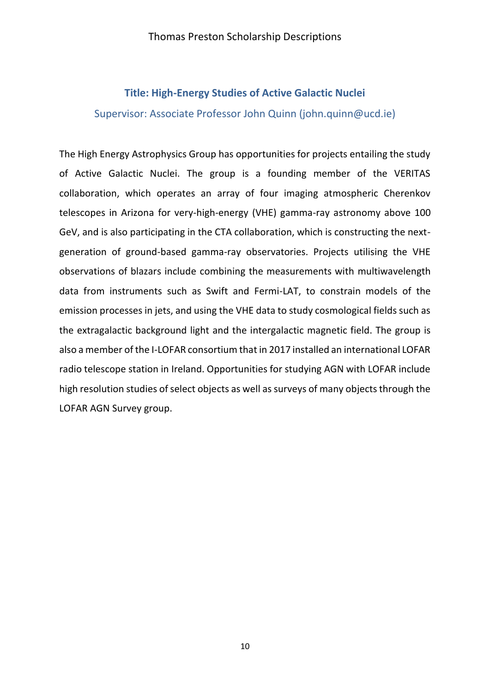### **Title: High-Energy Studies of Active Galactic Nuclei**

Supervisor: Associate Professor John Quinn (john.quinn@ucd.ie)

The High Energy Astrophysics Group has opportunities for projects entailing the study of Active Galactic Nuclei. The group is a founding member of the VERITAS collaboration, which operates an array of four imaging atmospheric Cherenkov telescopes in Arizona for very-high-energy (VHE) gamma-ray astronomy above 100 GeV, and is also participating in the CTA collaboration, which is constructing the nextgeneration of ground-based gamma-ray observatories. Projects utilising the VHE observations of blazars include combining the measurements with multiwavelength data from instruments such as Swift and Fermi-LAT, to constrain models of the emission processes in jets, and using the VHE data to study cosmological fields such as the extragalactic background light and the intergalactic magnetic field. The group is also a member of the I-LOFAR consortium that in 2017 installed an international LOFAR radio telescope station in Ireland. Opportunities for studying AGN with LOFAR include high resolution studies of select objects as well as surveys of many objects through the LOFAR AGN Survey group.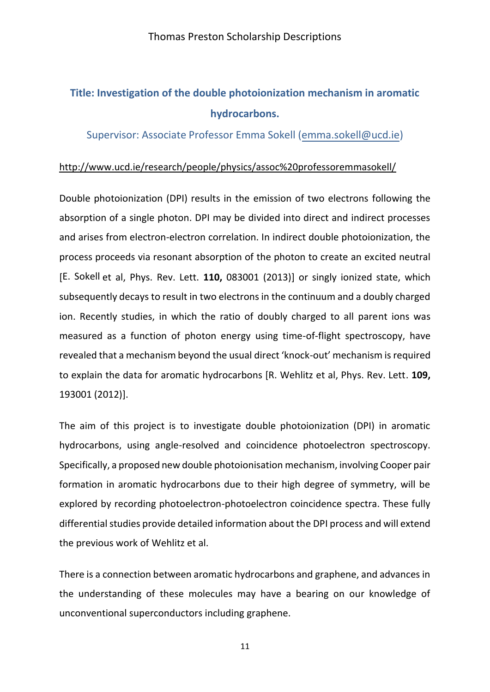# **Title: Investigation of the double photoionization mechanism in aromatic hydrocarbons.**

Supervisor: Associate Professor Emma Sokell [\(emma.sokell@ucd.ie\)](mailto:emma.sokell@ucd.ie)

### <http://www.ucd.ie/research/people/physics/assoc%20professoremmasokell/>

Double photoionization (DPI) results in the emission of two electrons following the absorption of a single photon. DPI may be divided into direct and indirect processes and arises from electron-electron correlation. In indirect double photoionization, the process proceeds via resonant absorption of the photon to create an excited neutral [E. Sokell et al, Phys. Rev. Lett. **110,** 083001 (2013)] or singly ionized state, which subsequently decays to result in two electrons in the continuum and a doubly charged ion. Recently studies, in which the ratio of doubly charged to all parent ions was measured as a function of photon energy using time-of-flight spectroscopy, have revealed that a mechanism beyond the usual direct 'knock-out' mechanism is required to explain the data for aromatic hydrocarbons [R. Wehlitz et al, Phys. Rev. Lett. **109,** 193001 (2012)].

The aim of this project is to investigate double photoionization (DPI) in aromatic hydrocarbons, using angle-resolved and coincidence photoelectron spectroscopy. Specifically, a proposed new double photoionisation mechanism, involving Cooper pair formation in aromatic hydrocarbons due to their high degree of symmetry, will be explored by recording photoelectron-photoelectron coincidence spectra. These fully differential studies provide detailed information about the DPI process and will extend the previous work of Wehlitz et al.

There is a connection between aromatic hydrocarbons and graphene, and advances in the understanding of these molecules may have a bearing on our knowledge of unconventional superconductors including graphene.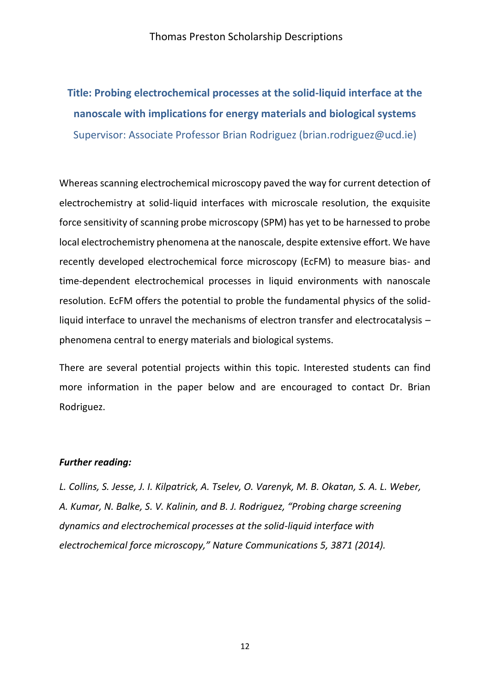# **Title: Probing electrochemical processes at the solid-liquid interface at the nanoscale with implications for energy materials and biological systems**  Supervisor: Associate Professor Brian Rodriguez (brian.rodriguez@ucd.ie)

Whereas scanning electrochemical microscopy paved the way for current detection of electrochemistry at solid-liquid interfaces with microscale resolution, the exquisite force sensitivity of scanning probe microscopy (SPM) has yet to be harnessed to probe local electrochemistry phenomena at the nanoscale, despite extensive effort. We have recently developed electrochemical force microscopy (EcFM) to measure bias- and time-dependent electrochemical processes in liquid environments with nanoscale resolution. EcFM offers the potential to proble the fundamental physics of the solidliquid interface to unravel the mechanisms of electron transfer and electrocatalysis – phenomena central to energy materials and biological systems.

There are several potential projects within this topic. Interested students can find more information in the paper below and are encouraged to contact Dr. Brian Rodriguez.

#### *Further reading:*

*L. Collins, S. Jesse, J. I. Kilpatrick, A. Tselev, O. Varenyk, M. B. Okatan, S. A. L. Weber, A. Kumar, N. Balke, S. V. Kalinin, and B. J. Rodriguez, "Probing charge screening dynamics and electrochemical processes at the solid-liquid interface with electrochemical force microscopy," Nature Communications 5, 3871 (2014).*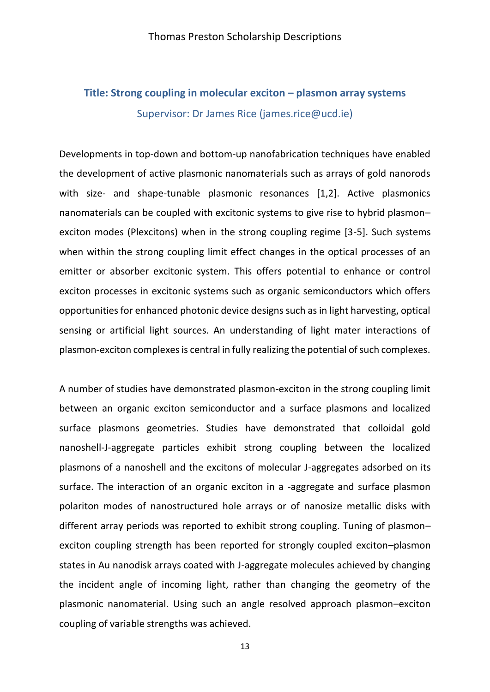### **Title: Strong coupling in molecular exciton – plasmon array systems**  Supervisor: Dr James Rice (james.rice@ucd.ie)

Developments in top-down and bottom-up nanofabrication techniques have enabled the development of active plasmonic nanomaterials such as arrays of gold nanorods with size- and shape-tunable plasmonic resonances [1,2]. Active plasmonics nanomaterials can be coupled with excitonic systems to give rise to hybrid plasmon– exciton modes (Plexcitons) when in the strong coupling regime [3-5]. Such systems when within the strong coupling limit effect changes in the optical processes of an emitter or absorber excitonic system. This offers potential to enhance or control exciton processes in excitonic systems such as organic semiconductors which offers opportunities for enhanced photonic device designs such as in light harvesting, optical sensing or artificial light sources. An understanding of light mater interactions of plasmon-exciton complexes is central in fully realizing the potential of such complexes.

A number of studies have demonstrated plasmon-exciton in the strong coupling limit between an organic exciton semiconductor and a surface plasmons and localized surface plasmons geometries. Studies have demonstrated that colloidal gold nanoshell-J-aggregate particles exhibit strong coupling between the localized plasmons of a nanoshell and the excitons of molecular J-aggregates adsorbed on its surface. The interaction of an organic exciton in a -aggregate and surface plasmon polariton modes of nanostructured hole arrays or of nanosize metallic disks with different array periods was reported to exhibit strong coupling. Tuning of plasmon– exciton coupling strength has been reported for strongly coupled exciton–plasmon states in Au nanodisk arrays coated with J-aggregate molecules achieved by changing the incident angle of incoming light, rather than changing the geometry of the plasmonic nanomaterial. Using such an angle resolved approach plasmon–exciton coupling of variable strengths was achieved.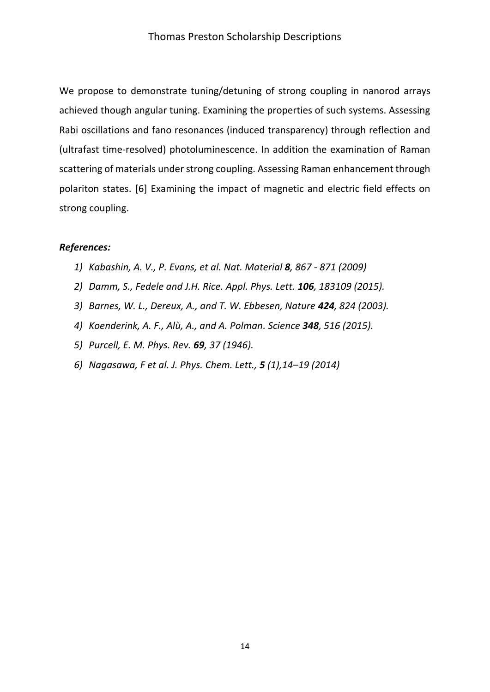We propose to demonstrate tuning/detuning of strong coupling in nanorod arrays achieved though angular tuning. Examining the properties of such systems. Assessing Rabi oscillations and fano resonances (induced transparency) through reflection and (ultrafast time-resolved) photoluminescence. In addition the examination of Raman scattering of materials under strong coupling. Assessing Raman enhancement through polariton states. [6] Examining the impact of magnetic and electric field effects on strong coupling.

### *References:*

- *1) Kabashin, A. V., P. Evans, et al. Nat. Material 8, 867 - 871 (2009)*
- *2) Damm, S., Fedele and J.H. Rice. Appl. Phys. Lett. 106, 183109 (2015).*
- *3) Barnes, W. L., Dereux, A., and T. W. Ebbesen, Nature 424, 824 (2003).*
- *4) Koenderink, A. F., Alù, A., and A. Polman. Science 348, 516 (2015).*
- *5) Purcell, E. M. Phys. Rev. 69, 37 (1946).*
- *6) Nagasawa, F et al. J. Phys. Chem. Lett., 5 (1),14–19 (2014)*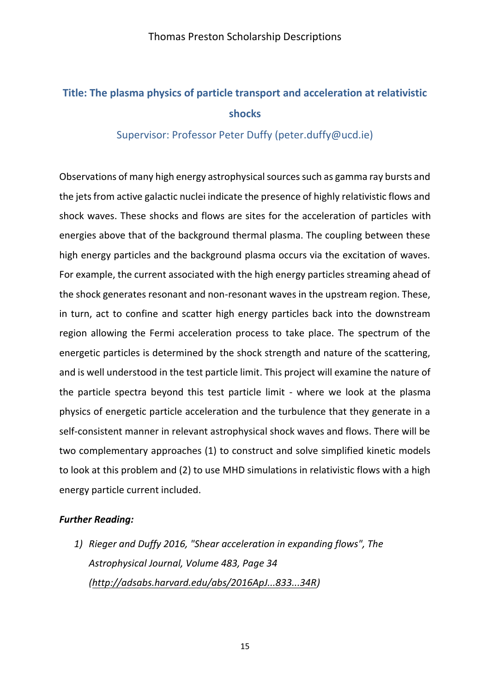# **Title: The plasma physics of particle transport and acceleration at relativistic shocks**

### Supervisor: Professor Peter Duffy (peter.duffy@ucd.ie)

Observations of many high energy astrophysical sources such as gamma ray bursts and the jets from active galactic nuclei indicate the presence of highly relativistic flows and shock waves. These shocks and flows are sites for the acceleration of particles with energies above that of the background thermal plasma. The coupling between these high energy particles and the background plasma occurs via the excitation of waves. For example, the current associated with the high energy particles streaming ahead of the shock generates resonant and non-resonant waves in the upstream region. These, in turn, act to confine and scatter high energy particles back into the downstream region allowing the Fermi acceleration process to take place. The spectrum of the energetic particles is determined by the shock strength and nature of the scattering, and is well understood in the test particle limit. This project will examine the nature of the particle spectra beyond this test particle limit - where we look at the plasma physics of energetic particle acceleration and the turbulence that they generate in a self-consistent manner in relevant astrophysical shock waves and flows. There will be two complementary approaches (1) to construct and solve simplified kinetic models to look at this problem and (2) to use MHD simulations in relativistic flows with a high energy particle current included.

### *Further Reading:*

*1) Rieger and Duffy 2016, "Shear acceleration in expanding flows", The Astrophysical Journal, Volume 483, Page 34 [\(http://adsabs.harvard.edu/abs/2016ApJ...833...34R\)](http://adsabs.harvard.edu/abs/2016ApJ...833...34R)*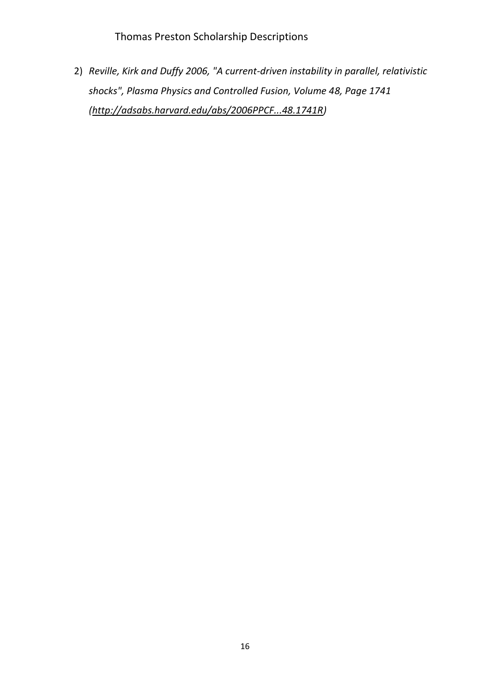2) *Reville, Kirk and Duffy 2006, "A current-driven instability in parallel, relativistic shocks", Plasma Physics and Controlled Fusion, Volume 48, Page 1741 [\(http://adsabs.harvard.edu/abs/2006PPCF...48.1741R\)](http://adsabs.harvard.edu/abs/2006PPCF...48.1741R)*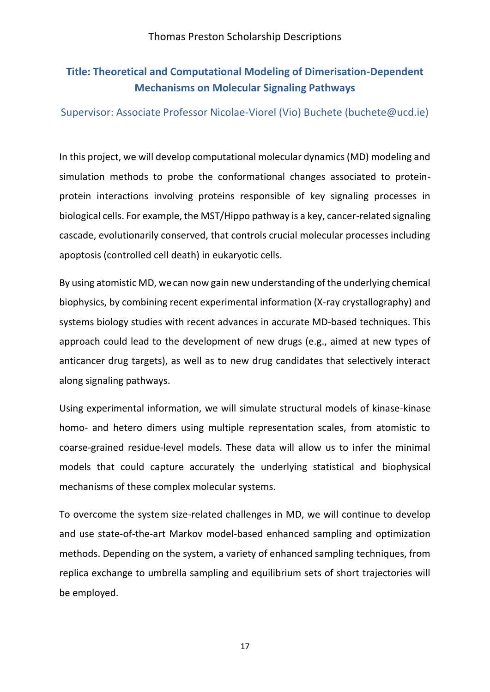### **Title: Theoretical and Computational Modeling of Dimerisation-Dependent Mechanisms on Molecular Signaling Pathways**

### Supervisor: Associate Professor Nicolae-Viorel (Vio) Buchete (buchete@ucd.ie)

In this project, we will develop computational molecular dynamics (MD) modeling and simulation methods to probe the conformational changes associated to proteinprotein interactions involving proteins responsible of key signaling processes in biological cells. For example, the MST/Hippo pathway is a key, cancer-related signaling cascade, evolutionarily conserved, that controls crucial molecular processes including apoptosis (controlled cell death) in eukaryotic cells.

By using atomistic MD, wecan now gain new understanding of the underlying chemical biophysics, by combining recent experimental information (X-ray crystallography) and systems biology studies with recent advances in accurate MD-based techniques. This approach could lead to the development of new drugs (e.g., aimed at new types of anticancer drug targets), as well as to new drug candidates that selectively interact along signaling pathways.

Using experimental information, we will simulate structural models of kinase-kinase homo- and hetero dimers using multiple representation scales, from atomistic to coarse-grained residue-level models. These data will allow us to infer the minimal models that could capture accurately the underlying statistical and biophysical mechanisms of these complex molecular systems.

To overcome the system size-related challenges in MD, we will continue to develop and use state-of-the-art Markov model-based enhanced sampling and optimization methods. Depending on the system, a variety of enhanced sampling techniques, from replica exchange to umbrella sampling and equilibrium sets of short trajectories will be employed.